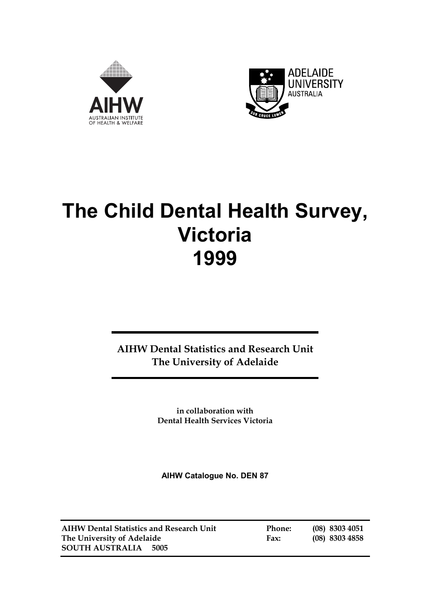



# **The Child Dental Health Survey, Victoria 1999**

**AIHW Dental Statistics and Research Unit The University of Adelaide**

> **in collaboration with Dental Health Services Victoria**

**AIHW Catalogue No. DEN 87** 

| <b>AIHW Dental Statistics and Research Un</b> |  |  |  |  |  |  |
|-----------------------------------------------|--|--|--|--|--|--|
| The University of Adelaide                    |  |  |  |  |  |  |
| <b>SOUTH AUSTRALIA 5005</b>                   |  |  |  |  |  |  |

**AIHW DENDINIE:** (08) 8303 4051 **Fax:** (08) 8303 4858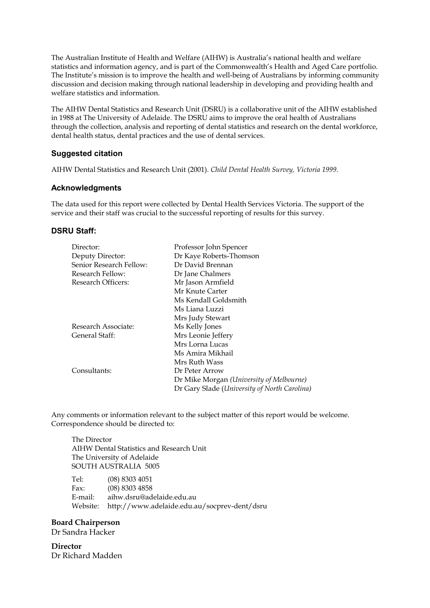The Australian Institute of Health and Welfare (AIHW) is Australia's national health and welfare statistics and information agency, and is part of the Commonwealth's Health and Aged Care portfolio. The Institute's mission is to improve the health and well-being of Australians by informing community discussion and decision making through national leadership in developing and providing health and welfare statistics and information.

The AIHW Dental Statistics and Research Unit (DSRU) is a collaborative unit of the AIHW established in 1988 at The University of Adelaide. The DSRU aims to improve the oral health of Australians through the collection, analysis and reporting of dental statistics and research on the dental workforce, dental health status, dental practices and the use of dental services.

#### **Suggested citation**

AIHW Dental Statistics and Research Unit (2001). *Child Dental Health Survey, Victoria 1999*.

#### **Acknowledgments**

The data used for this report were collected by Dental Health Services Victoria. The support of the service and their staff was crucial to the successful reporting of results for this survey.

#### **DSRU Staff:**

| Director:               | Professor John Spencer                       |
|-------------------------|----------------------------------------------|
| Deputy Director:        | Dr Kaye Roberts-Thomson                      |
| Senior Research Fellow: | Dr David Brennan                             |
| Research Fellow:        | Dr Jane Chalmers                             |
| Research Officers:      | Mr Jason Armfield                            |
|                         | Mr Knute Carter                              |
|                         | Ms Kendall Goldsmith                         |
|                         | Ms Liana Luzzi                               |
|                         | Mrs Judy Stewart                             |
| Research Associate:     | Ms Kelly Jones                               |
| General Staff:          | Mrs Leonie Jeffery                           |
|                         | Mrs Lorna Lucas                              |
|                         | Ms Amira Mikhail                             |
|                         | Mrs Ruth Wass                                |
| Consultants:            | Dr Peter Arrow                               |
|                         | Dr Mike Morgan (University of Melbourne)     |
|                         | Dr Gary Slade (University of North Carolina) |
|                         |                                              |

Any comments or information relevant to the subject matter of this report would be welcome. Correspondence should be directed to:

 The Director AIHW Dental Statistics and Research Unit The University of Adelaide SOUTH AUSTRALIA 5005

 Tel: (08) 8303 4051 Fax: (08) 8303 4858 E-mail: aihw.dsru@adelaide.edu.au Website: http://www.adelaide.edu.au/socprev-dent/dsru

#### **Board Chairperson**

Dr Sandra Hacker

**Director** Dr Richard Madden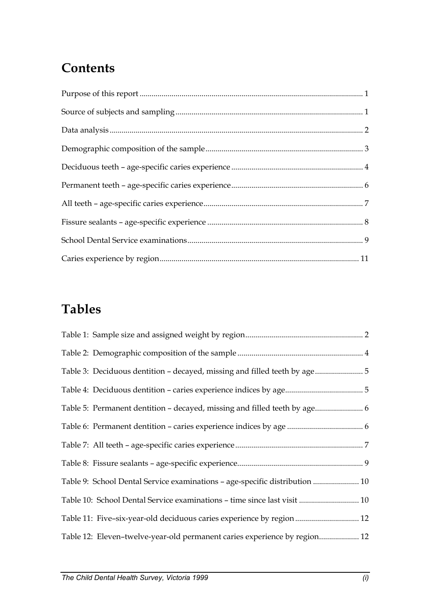## **Contents**

## **Tables**

| Table 3: Deciduous dentition - decayed, missing and filled teeth by age 5   |
|-----------------------------------------------------------------------------|
|                                                                             |
| Table 5: Permanent dentition - decayed, missing and filled teeth by age 6   |
|                                                                             |
|                                                                             |
|                                                                             |
| Table 9: School Dental Service examinations - age-specific distribution  10 |
| Table 10: School Dental Service examinations - time since last visit  10    |
| Table 11: Five-six-year-old deciduous caries experience by region  12       |
| Table 12: Eleven-twelve-year-old permanent caries experience by region 12   |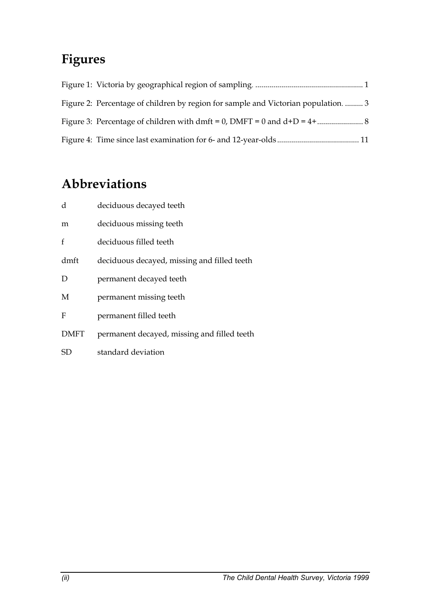## **Figures**

| Figure 2: Percentage of children by region for sample and Victorian population 3 |  |
|----------------------------------------------------------------------------------|--|
|                                                                                  |  |
|                                                                                  |  |

## **Abbreviations**

| d            | deciduous decayed teeth                     |
|--------------|---------------------------------------------|
| m            | deciduous missing teeth                     |
| $\mathbf{f}$ | deciduous filled teeth                      |
| dmft         | deciduous decayed, missing and filled teeth |
| D            | permanent decayed teeth                     |
| M            | permanent missing teeth                     |
| F            | permanent filled teeth                      |
| <b>DMFT</b>  | permanent decayed, missing and filled teeth |
| SD           | standard deviation                          |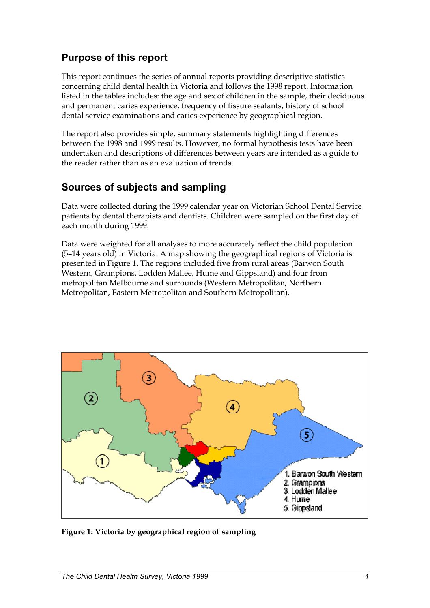## <span id="page-6-0"></span>**Purpose of this report**

This report continues the series of annual reports providing descriptive statistics concerning child dental health in Victoria and follows the 1998 report. Information listed in the tables includes: the age and sex of children in the sample, their deciduous and permanent caries experience, frequency of fissure sealants, history of school dental service examinations and caries experience by geographical region.

The report also provides simple, summary statements highlighting differences between the 1998 and 1999 results. However, no formal hypothesis tests have been undertaken and descriptions of differences between years are intended as a guide to the reader rather than as an evaluation of trends.

## **Sources of subjects and sampling**

Data were collected during the 1999 calendar year on Victorian School Dental Service patients by dental therapists and dentists. Children were sampled on the first day of each month during 1999.

Data were weighted for all analyses to more accurately reflect the child population (5–14 years old) in Victoria. A map showing the geographical regions of Victoria is presented in Figure 1. The regions included five from rural areas (Barwon South Western, Grampions, Lodden Mallee, Hume and Gippsland) and four from metropolitan Melbourne and surrounds (Western Metropolitan, Northern Metropolitan, Eastern Metropolitan and Southern Metropolitan).



**Figure 1: Victoria by geographical region of sampling**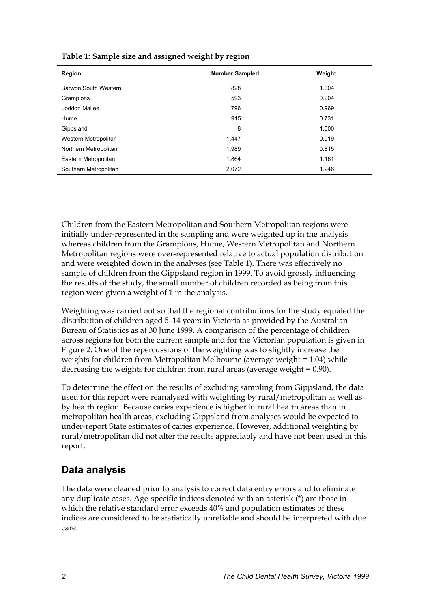| Region                | <b>Number Sampled</b> | Weight |
|-----------------------|-----------------------|--------|
| Barwon South Western  | 828                   | 1.004  |
| Grampions             | 593                   | 0.904  |
| Loddon Mallee         | 796                   | 0.969  |
| Hume                  | 915                   | 0.731  |
| Gippsland             | 8                     | 1.000  |
| Western Metropolitan  | 1,447                 | 0.919  |
| Northern Metropolitan | 1,989                 | 0.815  |
| Eastern Metropolitan  | 1,864                 | 1.161  |
| Southern Metropolitan | 2,072                 | 1.246  |

**Table 1: Sample size and assigned weight by region** 

Children from the Eastern Metropolitan and Southern Metropolitan regions were initially under-represented in the sampling and were weighted up in the analysis whereas children from the Grampions, Hume, Western Metropolitan and Northern Metropolitan regions were over-represented relative to actual population distribution and were weighted down in the analyses (see Table 1). There was effectively no sample of children from the Gippsland region in 1999. To avoid grossly influencing the results of the study, the small number of children recorded as being from this region were given a weight of 1 in the analysis.

Weighting was carried out so that the regional contributions for the study equaled the distribution of children aged 5–14 years in Victoria as provided by the Australian Bureau of Statistics as at 30 June 1999. A comparison of the percentage of children across regions for both the current sample and for the Victorian population is given in Figure 2. One of the repercussions of the weighting was to slightly increase the weights for children from Metropolitan Melbourne (average weight = 1.04) while decreasing the weights for children from rural areas (average weight = 0.90).

To determine the effect on the results of excluding sampling from Gippsland, the data used for this report were reanalysed with weighting by rural/metropolitan as well as by health region. Because caries experience is higher in rural health areas than in metropolitan health areas, excluding Gippsland from analyses would be expected to under-report State estimates of caries experience. However, additional weighting by rural/metropolitan did not alter the results appreciably and have not been used in this report.

## **Data analysis**

The data were cleaned prior to analysis to correct data entry errors and to eliminate any duplicate cases. Age-specific indices denoted with an asterisk (\*) are those in which the relative standard error exceeds 40% and population estimates of these indices are considered to be statistically unreliable and should be interpreted with due care.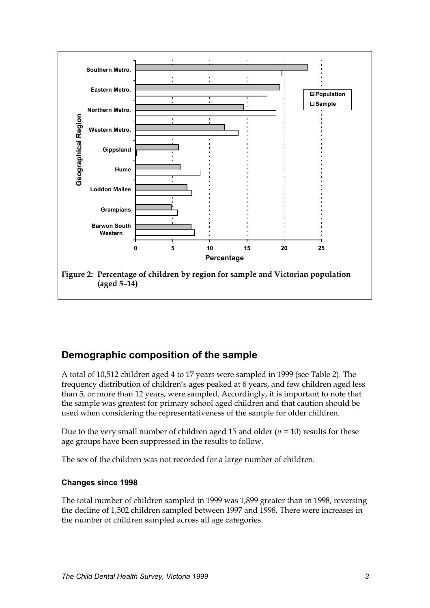

## <span id="page-8-0"></span>**Demographic composition of the sample**

A total of 10,512 children aged 4 to 17 years were sampled in 1999 (see Table 2). The frequency distribution of children's ages peaked at 6 years, and few children aged less than 5, or more than 12 years, were sampled. Accordingly, it is important to note that the sample was greatest for primary school aged children and that caution should be used when considering the representativeness of the sample for older children.

Due to the very small number of children aged 15 and older  $(n = 10)$  results for these age groups have been suppressed in the results to follow.

The sex of the children was not recorded for a large number of children.

#### **Changes since 1998**

The total number of children sampled in 1999 was 1,899 greater than in 1998, reversing the decline of 1,502 children sampled between 1997 and 1998. There were increases in the number of children sampled across all age categories.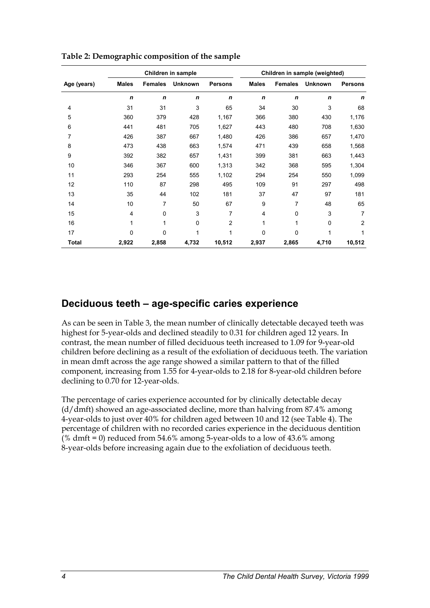|              |              |                | Children in sample |                |              |                | Children in sample (weighted) |                |
|--------------|--------------|----------------|--------------------|----------------|--------------|----------------|-------------------------------|----------------|
| Age (years)  | <b>Males</b> | <b>Females</b> | <b>Unknown</b>     | <b>Persons</b> | <b>Males</b> | <b>Females</b> | <b>Unknown</b>                | <b>Persons</b> |
|              | $\mathbf n$  | $\mathbf n$    | $\mathbf n$        | $\mathbf n$    | $\mathbf n$  | $\mathbf n$    | $\mathbf n$                   | $\mathbf n$    |
| 4            | 31           | 31             | 3                  | 65             | 34           | 30             | 3                             | 68             |
| 5            | 360          | 379            | 428                | 1,167          | 366          | 380            | 430                           | 1,176          |
| 6            | 441          | 481            | 705                | 1,627          | 443          | 480            | 708                           | 1,630          |
| 7            | 426          | 387            | 667                | 1,480          | 426          | 386            | 657                           | 1,470          |
| 8            | 473          | 438            | 663                | 1,574          | 471          | 439            | 658                           | 1,568          |
| 9            | 392          | 382            | 657                | 1,431          | 399          | 381            | 663                           | 1,443          |
| 10           | 346          | 367            | 600                | 1,313          | 342          | 368            | 595                           | 1,304          |
| 11           | 293          | 254            | 555                | 1,102          | 294          | 254            | 550                           | 1,099          |
| 12           | 110          | 87             | 298                | 495            | 109          | 91             | 297                           | 498            |
| 13           | 35           | 44             | 102                | 181            | 37           | 47             | 97                            | 181            |
| 14           | 10           | 7              | 50                 | 67             | 9            | 7              | 48                            | 65             |
| 15           | 4            | $\Omega$       | 3                  | 7              | 4            | 0              | 3                             | 7              |
| 16           | 1            | 1              | $\mathbf 0$        | $\overline{2}$ | 1            | 1              | $\mathbf 0$                   | 2              |
| 17           | 0            | $\mathbf 0$    | 1                  | 1              | 0            | 0              | 1                             |                |
| <b>Total</b> | 2,922        | 2,858          | 4,732              | 10,512         | 2,937        | 2,865          | 4,710                         | 10,512         |

**Table 2: Demographic composition of the sample** 

### <span id="page-9-0"></span>**Deciduous teeth – age-specific caries experience**

As can be seen in Table 3, the mean number of clinically detectable decayed teeth was highest for 5-year-olds and declined steadily to 0.31 for children aged 12 years. In contrast, the mean number of filled deciduous teeth increased to 1.09 for 9-year-old children before declining as a result of the exfoliation of deciduous teeth. The variation in mean dmft across the age range showed a similar pattern to that of the filled component, increasing from 1.55 for 4-year-olds to 2.18 for 8-year-old children before declining to 0.70 for 12-year-olds.

The percentage of caries experience accounted for by clinically detectable decay (d/dmft) showed an age-associated decline, more than halving from 87.4% among 4-year-olds to just over 40% for children aged between 10 and 12 (see Table 4). The percentage of children with no recorded caries experience in the deciduous dentition (% dmft = 0) reduced from  $54.6\%$  among 5-year-olds to a low of  $43.6\%$  among 8-year-olds before increasing again due to the exfoliation of deciduous teeth.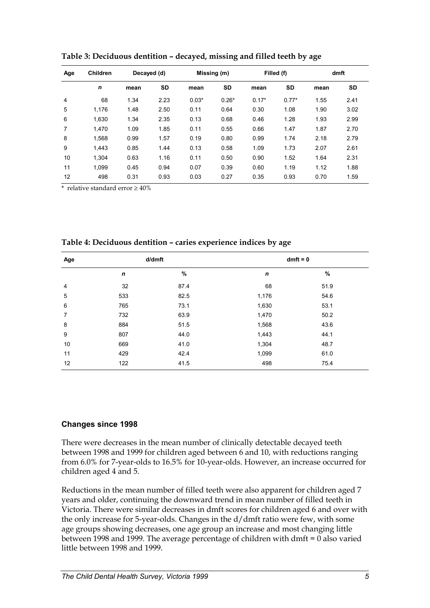| Age | <b>Children</b> | Decayed (d) |           |         | Missing (m) |         | Filled (f) |      | dmft |
|-----|-----------------|-------------|-----------|---------|-------------|---------|------------|------|------|
|     | $\mathbf n$     | mean        | <b>SD</b> | mean    | <b>SD</b>   | mean    | <b>SD</b>  | mean | SD   |
| 4   | 68              | 1.34        | 2.23      | $0.03*$ | $0.26*$     | $0.17*$ | $0.77*$    | 1.55 | 2.41 |
| 5   | 1.176           | 1.48        | 2.50      | 0.11    | 0.64        | 0.30    | 1.08       | 1.90 | 3.02 |
| 6   | 1,630           | 1.34        | 2.35      | 0.13    | 0.68        | 0.46    | 1.28       | 1.93 | 2.99 |
| 7   | 1.470           | 1.09        | 1.85      | 0.11    | 0.55        | 0.66    | 1.47       | 1.87 | 2.70 |
| 8   | 1,568           | 0.99        | 1.57      | 0.19    | 0.80        | 0.99    | 1.74       | 2.18 | 2.79 |
| 9   | 1.443           | 0.85        | 1.44      | 0.13    | 0.58        | 1.09    | 1.73       | 2.07 | 2.61 |
| 10  | 1.304           | 0.63        | 1.16      | 0.11    | 0.50        | 0.90    | 1.52       | 1.64 | 2.31 |
| 11  | 1,099           | 0.45        | 0.94      | 0.07    | 0.39        | 0.60    | 1.19       | 1.12 | 1.88 |
| 12  | 498             | 0.31        | 0.93      | 0.03    | 0.27        | 0.35    | 0.93       | 0.70 | 1.59 |

**Table 3: Deciduous dentition – decayed, missing and filled teeth by age** 

 $*$  relative standard error  $> 40\%$ 

| Age            | d/dmft |      | $dmft = 0$       |      |  |
|----------------|--------|------|------------------|------|--|
|                | n      | %    | $\boldsymbol{n}$ | %    |  |
| 4              | 32     | 87.4 | 68               | 51.9 |  |
| 5              | 533    | 82.5 | 1,176            | 54.6 |  |
| 6              | 765    | 73.1 | 1,630            | 53.1 |  |
| $\overline{7}$ | 732    | 63.9 | 1,470            | 50.2 |  |
| 8              | 884    | 51.5 | 1,568            | 43.6 |  |
| 9              | 807    | 44.0 | 1,443            | 44.1 |  |
| 10             | 669    | 41.0 | 1,304            | 48.7 |  |
| 11             | 429    | 42.4 | 1,099            | 61.0 |  |
| 12             | 122    | 41.5 | 498              | 75.4 |  |

**Table 4: Deciduous dentition – caries experience indices by age** 

#### **Changes since 1998**

There were decreases in the mean number of clinically detectable decayed teeth between 1998 and 1999 for children aged between 6 and 10, with reductions ranging from 6.0% for 7-year-olds to 16.5% for 10-year-olds. However, an increase occurred for children aged 4 and 5.

Reductions in the mean number of filled teeth were also apparent for children aged 7 years and older, continuing the downward trend in mean number of filled teeth in Victoria. There were similar decreases in dmft scores for children aged 6 and over with the only increase for 5-year-olds. Changes in the d/dmft ratio were few, with some age groups showing decreases, one age group an increase and most changing little between 1998 and 1999. The average percentage of children with dmft =  $\ddot{0}$  also varied little between 1998 and 1999.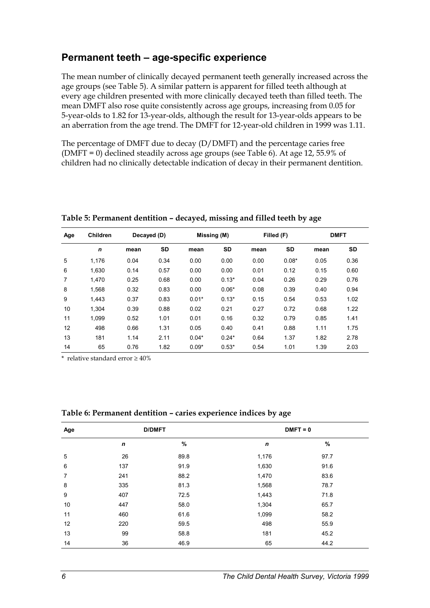### **Permanent teeth – age-specific experience**

The mean number of clinically decayed permanent teeth generally increased across the age groups (see Table 5). A similar pattern is apparent for filled teeth although at every age children presented with more clinically decayed teeth than filled teeth. The mean DMFT also rose quite consistently across age groups, increasing from 0.05 for 5-year-olds to 1.82 for 13-year-olds, although the result for 13-year-olds appears to be an aberration from the age trend. The DMFT for 12-year-old children in 1999 was 1.11.

The percentage of DMFT due to decay (D/DMFT) and the percentage caries free (DMFT = 0) declined steadily across age groups (see Table 6). At age 12, 55.9% of children had no clinically detectable indication of decay in their permanent dentition.

| Age            | <b>Children</b> | Decayed (D) |           |         | Missing (M) |      | Filled (F) |      | <b>DMFT</b> |
|----------------|-----------------|-------------|-----------|---------|-------------|------|------------|------|-------------|
|                | $\mathbf n$     | mean        | <b>SD</b> | mean    | <b>SD</b>   | mean | <b>SD</b>  | mean | <b>SD</b>   |
| 5              | 1.176           | 0.04        | 0.34      | 0.00    | 0.00        | 0.00 | $0.08*$    | 0.05 | 0.36        |
| 6              | 1.630           | 0.14        | 0.57      | 0.00    | 0.00        | 0.01 | 0.12       | 0.15 | 0.60        |
| $\overline{7}$ | 1.470           | 0.25        | 0.68      | 0.00    | $0.13*$     | 0.04 | 0.26       | 0.29 | 0.76        |
| 8              | 1,568           | 0.32        | 0.83      | 0.00    | $0.06*$     | 0.08 | 0.39       | 0.40 | 0.94        |
| 9              | 1.443           | 0.37        | 0.83      | $0.01*$ | $0.13*$     | 0.15 | 0.54       | 0.53 | 1.02        |
| 10             | 1.304           | 0.39        | 0.88      | 0.02    | 0.21        | 0.27 | 0.72       | 0.68 | 1.22        |
| 11             | 1.099           | 0.52        | 1.01      | 0.01    | 0.16        | 0.32 | 0.79       | 0.85 | 1.41        |
| 12             | 498             | 0.66        | 1.31      | 0.05    | 0.40        | 0.41 | 0.88       | 1.11 | 1.75        |
| 13             | 181             | 1.14        | 2.11      | $0.04*$ | $0.24*$     | 0.64 | 1.37       | 1.82 | 2.78        |
| 14             | 65              | 0.76        | 1.82      | $0.09*$ | $0.53*$     | 0.54 | 1.01       | 1.39 | 2.03        |

**Table 5: Permanent dentition – decayed, missing and filled teeth by age** 

\* relative standard error  $\geq 40\%$ 

| Age            |             | <b>D/DMFT</b> | $DMFT = 0$  |      |  |
|----------------|-------------|---------------|-------------|------|--|
|                | $\mathbf n$ | $\%$          | $\mathbf n$ | $\%$ |  |
| 5              | 26          | 89.8          | 1,176       | 97.7 |  |
| 6              | 137         | 91.9          | 1,630       | 91.6 |  |
| $\overline{7}$ | 241         | 88.2          | 1,470       | 83.6 |  |
| 8              | 335         | 81.3          | 1,568       | 78.7 |  |
| 9              | 407         | 72.5          | 1,443       | 71.8 |  |
| 10             | 447         | 58.0          | 1,304       | 65.7 |  |
| 11             | 460         | 61.6          | 1,099       | 58.2 |  |
| 12             | 220         | 59.5          | 498         | 55.9 |  |
| 13             | 99          | 58.8          | 181         | 45.2 |  |
| 14             | 36          | 46.9          | 65          | 44.2 |  |

**Table 6: Permanent dentition – caries experience indices by age**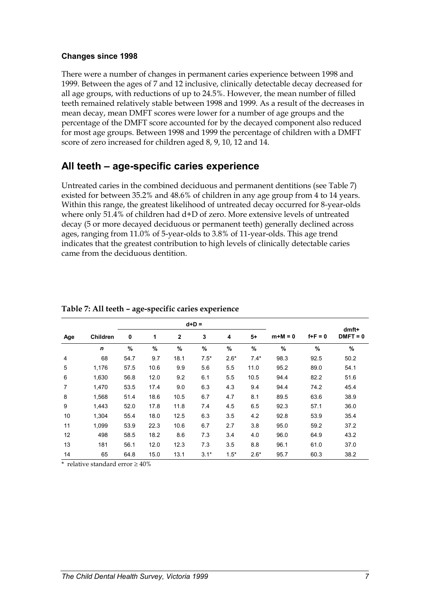#### **Changes since 1998**

There were a number of changes in permanent caries experience between 1998 and 1999. Between the ages of 7 and 12 inclusive, clinically detectable decay decreased for all age groups, with reductions of up to 24.5%. However, the mean number of filled teeth remained relatively stable between 1998 and 1999. As a result of the decreases in mean decay, mean DMFT scores were lower for a number of age groups and the percentage of the DMFT score accounted for by the decayed component also reduced for most age groups. Between 1998 and 1999 the percentage of children with a DMFT score of zero increased for children aged 8, 9, 10, 12 and 14.

## **All teeth – age-specific caries experience**

Untreated caries in the combined deciduous and permanent dentitions (see Table 7) existed for between 35.2% and 48.6% of children in any age group from 4 to 14 years. Within this range, the greatest likelihood of untreated decay occurred for 8-year-olds where only 51.4% of children had d+D of zero. More extensive levels of untreated decay (5 or more decayed deciduous or permanent teeth) generally declined across ages, ranging from 11.0% of 5-year-olds to 3.8% of 11-year-olds. This age trend indicates that the greatest contribution to high levels of clinically detectable caries came from the deciduous dentition.

|                |                 |               |      |              | $d+D =$ |        |        |           |             |                     |
|----------------|-----------------|---------------|------|--------------|---------|--------|--------|-----------|-------------|---------------------|
| Age            | <b>Children</b> | 0             | 1    | $\mathbf{2}$ | 3       | 4      | $5+$   | $m+M = 0$ | $f + F = 0$ | dmft+<br>$DMFT = 0$ |
|                | $\mathbf n$     | $\frac{9}{6}$ | $\%$ | $\%$         | $\%$    | $\%$   | $\%$   | $\%$      | %           | %                   |
| 4              | 68              | 54.7          | 9.7  | 18.1         | $7.5*$  | $2.6*$ | $7.4*$ | 98.3      | 92.5        | 50.2                |
| 5              | 1,176           | 57.5          | 10.6 | 9.9          | 5.6     | 5.5    | 11.0   | 95.2      | 89.0        | 54.1                |
| 6              | 1,630           | 56.8          | 12.0 | 9.2          | 6.1     | 5.5    | 10.5   | 94.4      | 82.2        | 51.6                |
| $\overline{7}$ | 1,470           | 53.5          | 17.4 | 9.0          | 6.3     | 4.3    | 9.4    | 94.4      | 74.2        | 45.4                |
| 8              | 1,568           | 51.4          | 18.6 | 10.5         | 6.7     | 4.7    | 8.1    | 89.5      | 63.6        | 38.9                |
| 9              | 1,443           | 52.0          | 17.8 | 11.8         | 7.4     | 4.5    | 6.5    | 92.3      | 57.1        | 36.0                |
| 10             | 1.304           | 55.4          | 18.0 | 12.5         | 6.3     | 3.5    | 4.2    | 92.8      | 53.9        | 35.4                |
| 11             | 1,099           | 53.9          | 22.3 | 10.6         | 6.7     | 2.7    | 3.8    | 95.0      | 59.2        | 37.2                |
| 12             | 498             | 58.5          | 18.2 | 8.6          | 7.3     | 3.4    | 4.0    | 96.0      | 64.9        | 43.2                |
| 13             | 181             | 56.1          | 12.0 | 12.3         | 7.3     | 3.5    | 8.8    | 96.1      | 61.0        | 37.0                |
| 14             | 65              | 64.8          | 15.0 | 13.1         | $3.1*$  | $1.5*$ | $2.6*$ | 95.7      | 60.3        | 38.2                |

**Table 7: All teeth – age-specific caries experience** 

 $*$  relative standard error  $> 40\%$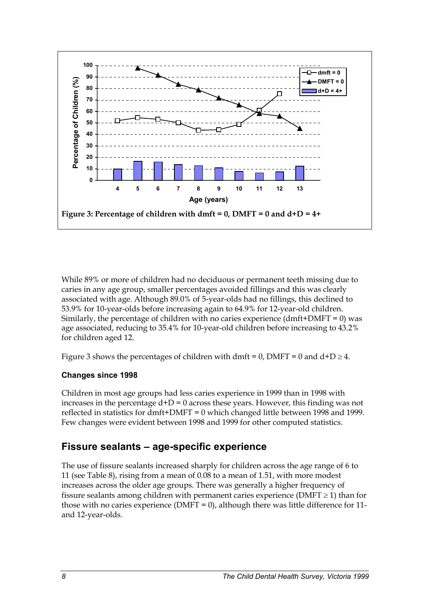

While 89% or more of children had no deciduous or permanent teeth missing due to caries in any age group, smaller percentages avoided fillings and this was clearly associated with age. Although 89.0% of 5-year-olds had no fillings, this declined to 53.9% for 10-year-olds before increasing again to 64.9% for 12-year-old children. Similarly, the percentage of children with no caries experience (dmft+DMFT =  $0$ ) was age associated, reducing to 35.4% for 10-year-old children before increasing to 43.2% for children aged 12.

Figure 3 shows the percentages of children with dmft = 0, DMFT = 0 and  $d+D \ge 4$ .

#### **Changes since 1998**

Children in most age groups had less caries experience in 1999 than in 1998 with increases in the percentage  $d+D = 0$  across these years. However, this finding was not reflected in statistics for dmft+DMFT = 0 which changed little between 1998 and 1999. Few changes were evident between 1998 and 1999 for other computed statistics.

### **Fissure sealants – age-specific experience**

The use of fissure sealants increased sharply for children across the age range of 6 to 11 (see Table 8), rising from a mean of 0.08 to a mean of 1.51, with more modest increases across the older age groups. There was generally a higher frequency of fissure sealants among children with permanent caries experience (DMFT  $\geq$  1) than for those with no caries experience (DMFT = 0), although there was little difference for  $11$ and 12-year-olds.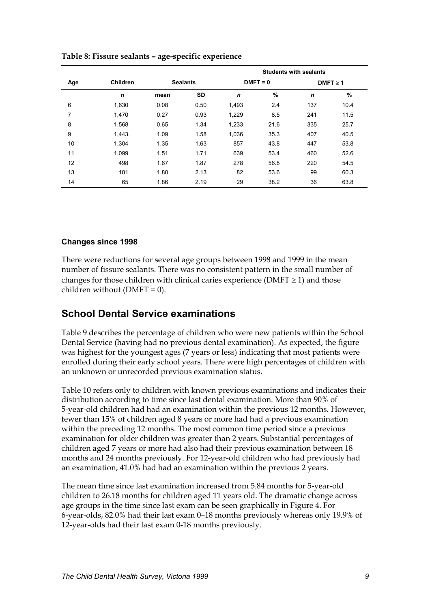|     |             |                 |           | <b>Students with sealants</b> |            |               |      |  |  |
|-----|-------------|-----------------|-----------|-------------------------------|------------|---------------|------|--|--|
| Age | Children    | <b>Sealants</b> |           |                               | $DMFT = 0$ | $DMFT \geq 1$ |      |  |  |
|     | $\mathbf n$ | mean            | <b>SD</b> | $\mathbf n$                   | $\%$       | $\mathbf n$   | $\%$ |  |  |
| 6   | 1,630       | 0.08            | 0.50      | 1,493                         | 2.4        | 137           | 10.4 |  |  |
| 7   | 1,470       | 0.27            | 0.93      | 1,229                         | 8.5        | 241           | 11.5 |  |  |
| 8   | 1,568       | 0.65            | 1.34      | 1,233                         | 21.6       | 335           | 25.7 |  |  |
| 9   | 1,443.      | 1.09            | 1.58      | 1,036                         | 35.3       | 407           | 40.5 |  |  |
| 10  | 1.304       | 1.35            | 1.63      | 857                           | 43.8       | 447           | 53.8 |  |  |
| 11  | 1,099       | 1.51            | 1.71      | 639                           | 53.4       | 460           | 52.6 |  |  |
| 12  | 498         | 1.67            | 1.87      | 278                           | 56.8       | 220           | 54.5 |  |  |
| 13  | 181         | 1.80            | 2.13      | 82                            | 53.6       | 99            | 60.3 |  |  |
| 14  | 65          | 1.86            | 2.19      | 29                            | 38.2       | 36            | 63.8 |  |  |

**Table 8: Fissure sealants – age-specific experience** 

#### **Changes since 1998**

There were reductions for several age groups between 1998 and 1999 in the mean number of fissure sealants. There was no consistent pattern in the small number of changes for those children with clinical caries experience ( $\text{DMFT} \geq 1$ ) and those children without ( $DMFT = 0$ ).

### **School Dental Service examinations**

Table 9 describes the percentage of children who were new patients within the School Dental Service (having had no previous dental examination). As expected, the figure was highest for the youngest ages (7 years or less) indicating that most patients were enrolled during their early school years. There were high percentages of children with an unknown or unrecorded previous examination status.

Table 10 refers only to children with known previous examinations and indicates their distribution according to time since last dental examination. More than 90% of 5-year-old children had had an examination within the previous 12 months. However, fewer than 15% of children aged 8 years or more had had a previous examination within the preceding 12 months. The most common time period since a previous examination for older children was greater than 2 years. Substantial percentages of children aged 7 years or more had also had their previous examination between 18 months and 24 months previously. For 12-year-old children who had previously had an examination, 41.0% had had an examination within the previous 2 years.

The mean time since last examination increased from 5.84 months for 5-year-old children to 26.18 months for children aged 11 years old. The dramatic change across age groups in the time since last exam can be seen graphically in Figure 4. For 6-year-olds, 82.0% had their last exam 0–18 months previously whereas only 19.9% of 12-year-olds had their last exam 0-18 months previously.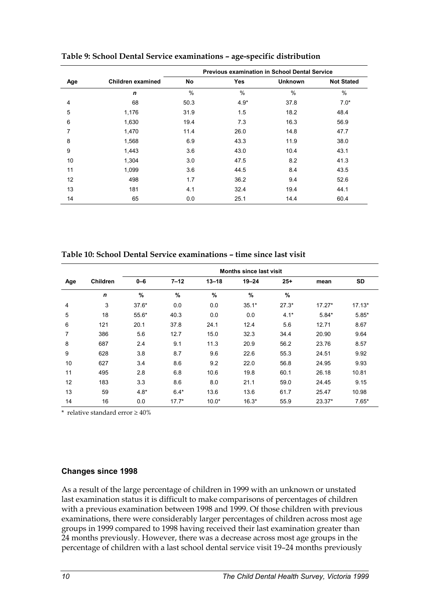|     |                   | <b>Previous examination in School Dental Service</b> |               |                |                   |  |  |  |  |
|-----|-------------------|------------------------------------------------------|---------------|----------------|-------------------|--|--|--|--|
| Age | Children examined | <b>No</b>                                            | <b>Yes</b>    | <b>Unknown</b> | <b>Not Stated</b> |  |  |  |  |
|     | $\mathbf n$       | $\frac{0}{0}$                                        | $\frac{0}{0}$ | $\%$           | $\%$              |  |  |  |  |
| 4   | 68                | 50.3                                                 | $4.9*$        | 37.8           | $7.0*$            |  |  |  |  |
| 5   | 1,176             | 31.9                                                 | 1.5           | 18.2           | 48.4              |  |  |  |  |
| 6   | 1,630             | 19.4                                                 | 7.3           | 16.3           | 56.9              |  |  |  |  |
| 7   | 1,470             | 11.4                                                 | 26.0          | 14.8           | 47.7              |  |  |  |  |
| 8   | 1,568             | 6.9                                                  | 43.3          | 11.9           | 38.0              |  |  |  |  |
| 9   | 1,443             | 3.6                                                  | 43.0          | 10.4           | 43.1              |  |  |  |  |
| 10  | 1,304             | 3.0                                                  | 47.5          | 8.2            | 41.3              |  |  |  |  |
| 11  | 1,099             | 3.6                                                  | 44.5          | 8.4            | 43.5              |  |  |  |  |
| 12  | 498               | 1.7                                                  | 36.2          | 9.4            | 52.6              |  |  |  |  |
| 13  | 181               | 4.1                                                  | 32.4          | 19.4           | 44.1              |  |  |  |  |
| 14  | 65                | 0.0                                                  | 25.1          | 14.4           | 60.4              |  |  |  |  |

**Table 9: School Dental Service examinations – age-specific distribution** 

**Table 10: School Dental Service examinations – time since last visit** 

|                |                 | <b>Months since last visit</b> |          |           |           |         |          |           |  |  |
|----------------|-----------------|--------------------------------|----------|-----------|-----------|---------|----------|-----------|--|--|
| Age            | <b>Children</b> | $0 - 6$                        | $7 - 12$ | $13 - 18$ | $19 - 24$ | $25+$   | mean     | <b>SD</b> |  |  |
|                | $\mathbf n$     | $\%$                           | %        | %         | $\%$      | $\%$    |          |           |  |  |
| $\overline{4}$ | 3               | $37.6*$                        | 0.0      | 0.0       | $35.1*$   | $27.3*$ | $17.27*$ | $17.13*$  |  |  |
| 5              | 18              | $55.6*$                        | 40.3     | 0.0       | 0.0       | $4.1*$  | $5.84*$  | $5.85*$   |  |  |
| 6              | 121             | 20.1                           | 37.8     | 24.1      | 12.4      | 5.6     | 12.71    | 8.67      |  |  |
| 7              | 386             | 5.6                            | 12.7     | 15.0      | 32.3      | 34.4    | 20.90    | 9.64      |  |  |
| 8              | 687             | 2.4                            | 9.1      | 11.3      | 20.9      | 56.2    | 23.76    | 8.57      |  |  |
| 9              | 628             | 3.8                            | 8.7      | 9.6       | 22.6      | 55.3    | 24.51    | 9.92      |  |  |
| 10             | 627             | 3.4                            | 8.6      | 9.2       | 22.0      | 56.8    | 24.95    | 9.93      |  |  |
| 11             | 495             | 2.8                            | 6.8      | 10.6      | 19.8      | 60.1    | 26.18    | 10.81     |  |  |
| 12             | 183             | 3.3                            | 8.6      | 8.0       | 21.1      | 59.0    | 24.45    | 9.15      |  |  |
| 13             | 59              | $4.8*$                         | $6.4*$   | 13.6      | 13.6      | 61.7    | 25.47    | 10.98     |  |  |
| 14             | 16              | 0.0                            | $17.7*$  | $10.0*$   | $16.3*$   | 55.9    | 23.37*   | $7.65*$   |  |  |

\* relative standard error  $\geq 40\%$ 

#### **Changes since 1998**

As a result of the large percentage of children in 1999 with an unknown or unstated last examination status it is difficult to make comparisons of percentages of children with a previous examination between 1998 and 1999. Of those children with previous examinations, there were considerably larger percentages of children across most age groups in 1999 compared to 1998 having received their last examination greater than 24 months previously. However, there was a decrease across most age groups in the percentage of children with a last school dental service visit 19–24 months previously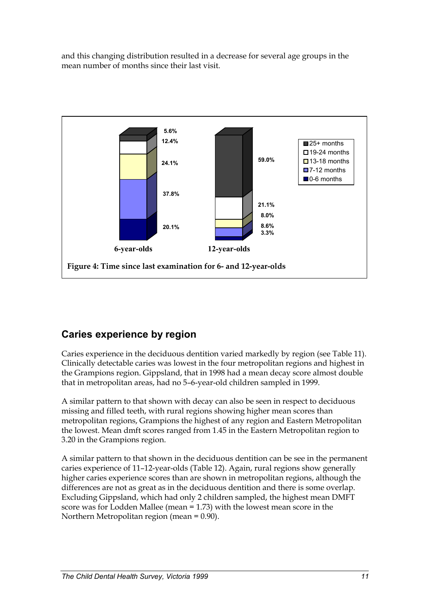and this changing distribution resulted in a decrease for several age groups in the mean number of months since their last visit.



## **Caries experience by region**

Caries experience in the deciduous dentition varied markedly by region (see Table 11). Clinically detectable caries was lowest in the four metropolitan regions and highest in the Grampions region. Gippsland, that in 1998 had a mean decay score almost double that in metropolitan areas, had no 5–6-year-old children sampled in 1999.

A similar pattern to that shown with decay can also be seen in respect to deciduous missing and filled teeth, with rural regions showing higher mean scores than metropolitan regions, Grampions the highest of any region and Eastern Metropolitan the lowest. Mean dmft scores ranged from 1.45 in the Eastern Metropolitan region to 3.20 in the Grampions region.

A similar pattern to that shown in the deciduous dentition can be see in the permanent caries experience of 11–12-year-olds (Table 12). Again, rural regions show generally higher caries experience scores than are shown in metropolitan regions, although the differences are not as great as in the deciduous dentition and there is some overlap. Excluding Gippsland, which had only 2 children sampled, the highest mean DMFT score was for Lodden Mallee (mean = 1.73) with the lowest mean score in the Northern Metropolitan region (mean = 0.90).